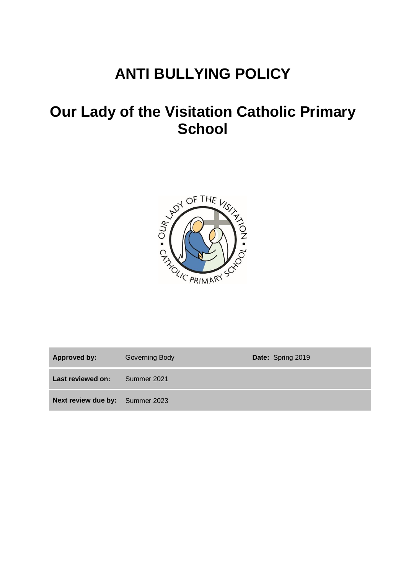# **ANTI BULLYING POLICY**

# **Our Lady of the Visitation Catholic Primary School**



| <b>Approved by:</b>                    | Governing Body | Date: Spring 2019 |
|----------------------------------------|----------------|-------------------|
| Last reviewed on:                      | Summer 2021    |                   |
| <b>Next review due by:</b> Summer 2023 |                |                   |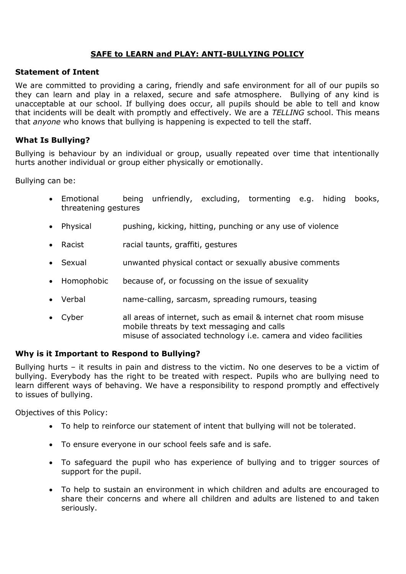## **SAFE to LEARN and PLAY: ANTI-BULLYING POLICY**

#### **Statement of Intent**

We are committed to providing a caring, friendly and safe environment for all of our pupils so they can learn and play in a relaxed, secure and safe atmosphere. Bullying of any kind is unacceptable at our school. If bullying does occur, all pupils should be able to tell and know that incidents will be dealt with promptly and effectively. We are a *TELLING* school. This means that *anyone* who knows that bullying is happening is expected to tell the staff.

### **What Is Bullying?**

Bullying is behaviour by an individual or group, usually repeated over time that intentionally hurts another individual or group either physically or emotionally.

Bullying can be:

- Emotional being unfriendly, excluding, tormenting e.g. hiding books, threatening gestures
- Physical pushing, kicking, hitting, punching or any use of violence
- Racist racial taunts, graffiti, gestures
- Sexual unwanted physical contact or sexually abusive comments
- Homophobic because of, or focussing on the issue of sexuality
- Verbal name-calling, sarcasm, spreading rumours, teasing
- Cyber all areas of internet, such as email & internet chat room misuse mobile threats by text messaging and calls misuse of associated technology i.e. camera and video facilities

#### **Why is it Important to Respond to Bullying?**

Bullying hurts – it results in pain and distress to the victim. No one deserves to be a victim of bullying. Everybody has the right to be treated with respect. Pupils who are bullying need to learn different ways of behaving. We have a responsibility to respond promptly and effectively to issues of bullying.

Objectives of this Policy:

- To help to reinforce our statement of intent that bullying will not be tolerated.
- To ensure everyone in our school feels safe and is safe.
- To safeguard the pupil who has experience of bullying and to trigger sources of support for the pupil.
- To help to sustain an environment in which children and adults are encouraged to share their concerns and where all children and adults are listened to and taken seriously.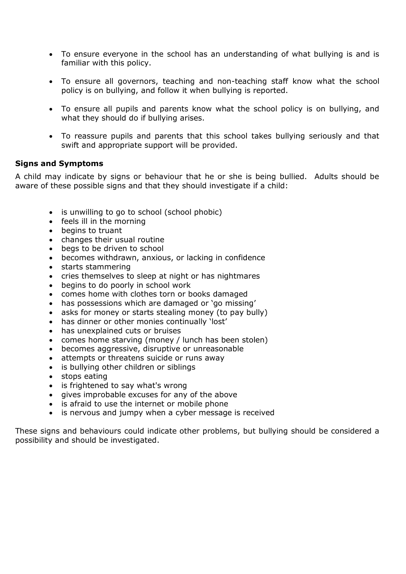- To ensure everyone in the school has an understanding of what bullying is and is familiar with this policy.
- To ensure all governors, teaching and non-teaching staff know what the school policy is on bullying, and follow it when bullying is reported.
- To ensure all pupils and parents know what the school policy is on bullying, and what they should do if bullying arises.
- To reassure pupils and parents that this school takes bullying seriously and that swift and appropriate support will be provided.

#### **Signs and Symptoms**

A child may indicate by signs or behaviour that he or she is being bullied. Adults should be aware of these possible signs and that they should investigate if a child:

- is unwilling to go to school (school phobic)
- feels ill in the morning
- begins to truant
- changes their usual routine
- begs to be driven to school
- becomes withdrawn, anxious, or lacking in confidence
- starts stammering
- cries themselves to sleep at night or has nightmares
- begins to do poorly in school work
- comes home with clothes torn or books damaged
- has possessions which are damaged or 'go missing'
- asks for money or starts stealing money (to pay bully)
- has dinner or other monies continually 'lost'
- has unexplained cuts or bruises
- comes home starving (money / lunch has been stolen)
- becomes aggressive, disruptive or unreasonable
- attempts or threatens suicide or runs away
- is bullying other children or siblings
- stops eating
- is frightened to say what's wrong
- gives improbable excuses for any of the above
- is afraid to use the internet or mobile phone
- is nervous and jumpy when a cyber message is received

These signs and behaviours could indicate other problems, but bullying should be considered a possibility and should be investigated.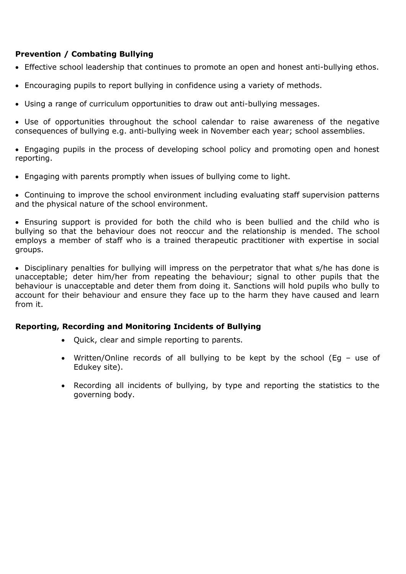### **Prevention / Combating Bullying**

- Effective school leadership that continues to promote an open and honest anti-bullying ethos.
- Encouraging pupils to report bullying in confidence using a variety of methods.
- Using a range of curriculum opportunities to draw out anti-bullying messages.

 Use of opportunities throughout the school calendar to raise awareness of the negative consequences of bullying e.g. anti-bullying week in November each year; school assemblies.

 Engaging pupils in the process of developing school policy and promoting open and honest reporting.

Engaging with parents promptly when issues of bullying come to light.

 Continuing to improve the school environment including evaluating staff supervision patterns and the physical nature of the school environment.

 Ensuring support is provided for both the child who is been bullied and the child who is bullying so that the behaviour does not reoccur and the relationship is mended. The school employs a member of staff who is a trained therapeutic practitioner with expertise in social groups.

 Disciplinary penalties for bullying will impress on the perpetrator that what s/he has done is unacceptable; deter him/her from repeating the behaviour; signal to other pupils that the behaviour is unacceptable and deter them from doing it. Sanctions will hold pupils who bully to account for their behaviour and ensure they face up to the harm they have caused and learn from it.

#### **Reporting, Recording and Monitoring Incidents of Bullying**

- Quick, clear and simple reporting to parents.
- Written/Online records of all bullying to be kept by the school (Eg use of Edukey site).
- Recording all incidents of bullying, by type and reporting the statistics to the governing body.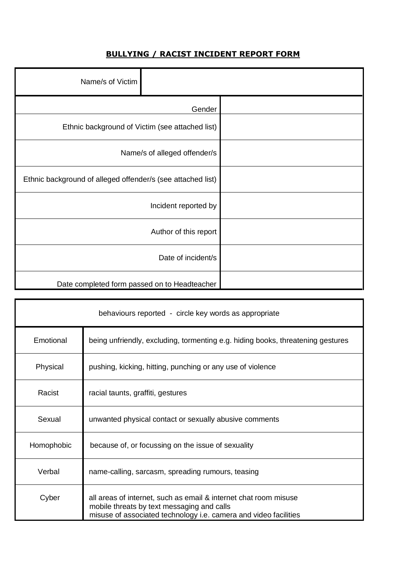# **BULLYING / RACIST INCIDENT REPORT FORM**

|                       |                                                             | Name/s of Victim |  |
|-----------------------|-------------------------------------------------------------|------------------|--|
| Gender                |                                                             |                  |  |
|                       | Ethnic background of Victim (see attached list)             |                  |  |
|                       | Name/s of alleged offender/s                                |                  |  |
|                       | Ethnic background of alleged offender/s (see attached list) |                  |  |
| Incident reported by  |                                                             |                  |  |
| Author of this report |                                                             |                  |  |
| Date of incident/s    |                                                             |                  |  |
|                       | Date completed form passed on to Headteacher                |                  |  |

| behaviours reported - circle key words as appropriate |                                                                                                                                                                                    |  |  |  |
|-------------------------------------------------------|------------------------------------------------------------------------------------------------------------------------------------------------------------------------------------|--|--|--|
| Emotional                                             | being unfriendly, excluding, tormenting e.g. hiding books, threatening gestures                                                                                                    |  |  |  |
| Physical                                              | pushing, kicking, hitting, punching or any use of violence                                                                                                                         |  |  |  |
| Racist                                                | racial taunts, graffiti, gestures                                                                                                                                                  |  |  |  |
| Sexual                                                | unwanted physical contact or sexually abusive comments                                                                                                                             |  |  |  |
| Homophobic                                            | because of, or focussing on the issue of sexuality                                                                                                                                 |  |  |  |
| Verbal                                                | name-calling, sarcasm, spreading rumours, teasing                                                                                                                                  |  |  |  |
| Cyber                                                 | all areas of internet, such as email & internet chat room misuse<br>mobile threats by text messaging and calls<br>misuse of associated technology i.e. camera and video facilities |  |  |  |